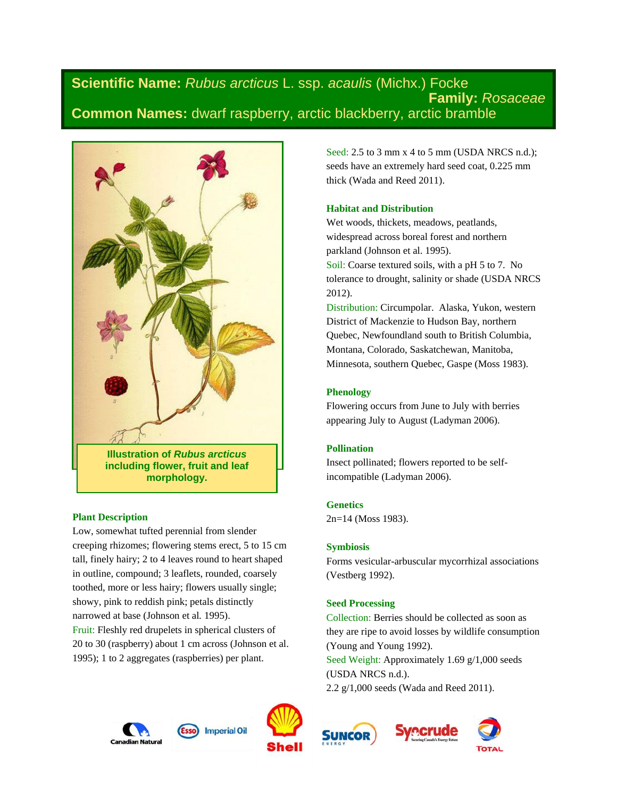# **Scientific Name:** *Rubus arcticus* L. ssp. *acaulis* (Michx.) Focke **Family:** *Rosaceae* **Common Names:** dwarf raspberry, arctic blackberry, arctic bramble



**including flower, fruit and leaf morphology.**

# **Plant Description**

Low, somewhat tufted perennial from slender creeping rhizomes; flowering stems erect, 5 to 15 cm tall, finely hairy; 2 to 4 leaves round to heart shaped in outline, compound; 3 leaflets, rounded, coarsely toothed, more or less hairy; flowers usually single; showy, pink to reddish pink; petals distinctly narrowed at base (Johnson et al*.* 1995). Fruit: Fleshly red drupelets in spherical clusters of 20 to 30 (raspberry) about 1 cm across (Johnson et al. 1995); 1 to 2 aggregates (raspberries) per plant.

Seed: 2.5 to 3 mm x 4 to 5 mm (USDA NRCS n.d.); seeds have an extremely hard seed coat, 0.225 mm thick (Wada and Reed 2011).

# **Habitat and Distribution**

Wet woods, thickets, meadows, peatlands, widespread across boreal forest and northern parkland (Johnson et al. 1995). Soil: Coarse textured soils, with a pH 5 to 7. No tolerance to drought, salinity or shade (USDA NRCS 2012).

Distribution: Circumpolar. Alaska, Yukon, western District of Mackenzie to Hudson Bay, northern Quebec, Newfoundland south to British Columbia, Montana, Colorado, Saskatchewan, Manitoba, Minnesota, southern Quebec, Gaspe (Moss 1983).

# **Phenology**

Flowering occurs from June to July with berries appearing July to August (Ladyman 2006).

# **Pollination**

Insect pollinated; flowers reported to be selfincompatible (Ladyman 2006).

# **Genetics**

2n=14 (Moss 1983).

# **Symbiosis**

Forms vesicular-arbuscular mycorrhizal associations (Vestberg 1992).

# **Seed Processing**

Collection: Berries should be collected as soon as they are ripe to avoid losses by wildlife consumption (Young and Young 1992).

Seed Weight: Approximately 1.69 g/1,000 seeds (USDA NRCS n.d.).

2.2 g/1,000 seeds (Wada and Reed 2011).







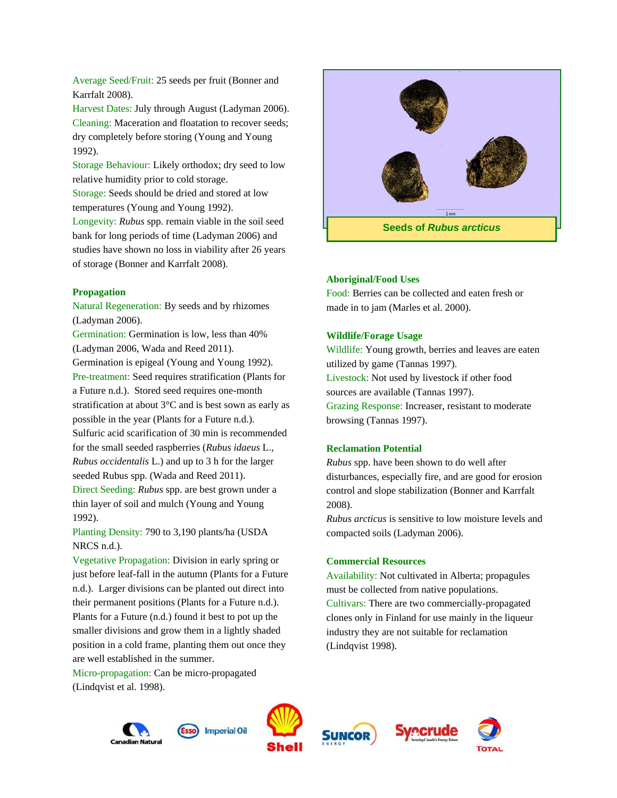Average Seed/Fruit: 25 seeds per fruit (Bonner and Karrfalt 2008).

Harvest Dates: July through August (Ladyman 2006). Cleaning: Maceration and floatation to recover seeds; dry completely before storing (Young and Young 1992).

Storage Behaviour: Likely orthodox; dry seed to low relative humidity prior to cold storage.

Storage: Seeds should be dried and stored at low temperatures (Young and Young 1992).

Longevity: *Rubus* spp*.* remain viable in the soil seed bank for long periods of time (Ladyman 2006) and studies have shown no loss in viability after 26 years of storage (Bonner and Karrfalt 2008).

#### **Propagation**

Natural Regeneration: By seeds and by rhizomes (Ladyman 2006).

Germination: Germination is low, less than 40% (Ladyman 2006, Wada and Reed 2011). Germination is epigeal (Young and Young 1992). Pre-treatment: Seed requires stratification (Plants for a Future n.d.). Stored seed requires one-month

stratification at about 3°C and is best sown as early as possible in the year (Plants for a Future n.d.). Sulfuric acid scarification of 30 min is recommended for the small seeded raspberries (*Rubus idaeus* L., *Rubus occidentalis* L.) and up to 3 h for the larger seeded Rubus spp. (Wada and Reed 2011). Direct Seeding: *Rubus* spp. are best grown under a thin layer of soil and mulch (Young and Young 1992).

Planting Density: 790 to 3,190 plants/ha (USDA NRCS n.d.).

Vegetative Propagation: Division in early spring or just before leaf-fall in the autumn (Plants for a Future n.d.). Larger divisions can be planted out direct into their permanent positions (Plants for a Future n.d.). Plants for a Future (n.d.) found it best to pot up the smaller divisions and grow them in a lightly shaded position in a cold frame, planting them out once they are well established in the summer.

Micro-propagation: Can be micro-propagated (Lindqvist et al. 1998).



#### **Aboriginal/Food Uses**

Food: Berries can be collected and eaten fresh or made in to jam (Marles et al. 2000).

#### **Wildlife/Forage Usage**

Wildlife: Young growth, berries and leaves are eaten utilized by game (Tannas 1997). Livestock: Not used by livestock if other food sources are available (Tannas 1997). Grazing Response: Increaser, resistant to moderate browsing (Tannas 1997).

# **Reclamation Potential**

*Rubus* spp. have been shown to do well after disturbances, especially fire, and are good for erosion control and slope stabilization (Bonner and Karrfalt 2008).

*Rubus arcticus* is sensitive to low moisture levels and compacted soils (Ladyman 2006).

#### **Commercial Resources**

Availability: Not cultivated in Alberta; propagules must be collected from native populations. Cultivars: There are two commercially-propagated clones only in Finland for use mainly in the liqueur industry they are not suitable for reclamation (Lindqvist 1998).











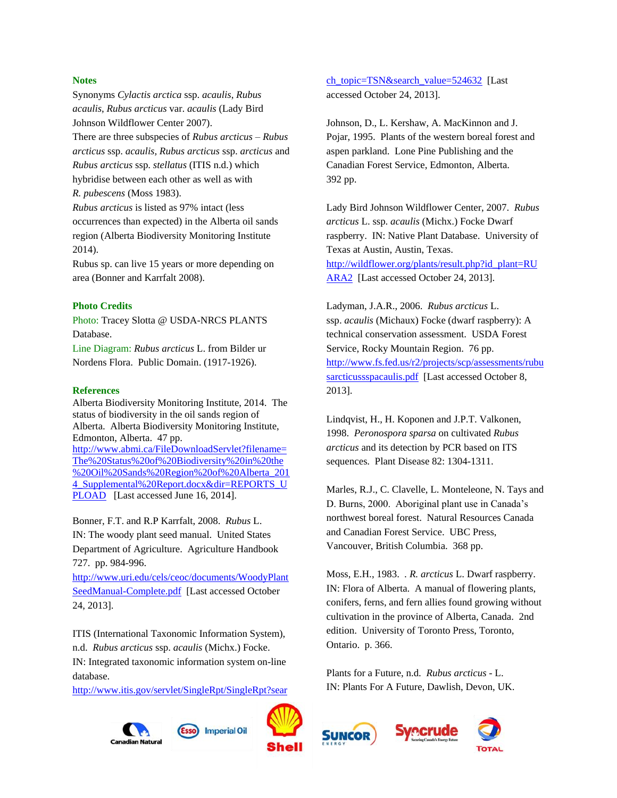#### **Notes**

Synonyms *Cylactis arctica* ssp. *acaulis*, *Rubus acaulis*, *Rubus arcticus* var. *acaulis* (Lady Bird Johnson Wildflower Center 2007).

There are three subspecies of *Rubus arcticus – Rubus arcticus* ssp. *acaulis, Rubus arcticus* ssp. *arcticus* and *Rubus arcticus* ssp. *stellatus* (ITIS n.d.) which hybridise between each other as well as with *R. pubescens* (Moss 1983).

*Rubus arcticus* is listed as 97% intact (less occurrences than expected) in the Alberta oil sands region (Alberta Biodiversity Monitoring Institute 2014).

Rubus sp. can live 15 years or more depending on area (Bonner and Karrfalt 2008).

### **Photo Credits**

Photo: Tracey Slotta @ USDA-NRCS PLANTS Database.

Line Diagram: *Rubus arcticus* L. from Bilder ur Nordens Flora. Public Domain. (1917-1926).

#### **References**

Alberta Biodiversity Monitoring Institute, 2014. The status of biodiversity in the oil sands region of Alberta. Alberta Biodiversity Monitoring Institute, Edmonton, Alberta. 47 pp. [http://www.abmi.ca/FileDownloadServlet?filename=](http://www.abmi.ca/FileDownloadServlet?filename=The%20Status%20of%20Biodiversity%20in%20the%20Oil%20Sands%20Region%20of%20Alberta_2014_Supplemental%20Report.docx&dir=REPORTS_UPLOAD) [The%20Status%20of%20Biodiversity%20in%20the](http://www.abmi.ca/FileDownloadServlet?filename=The%20Status%20of%20Biodiversity%20in%20the%20Oil%20Sands%20Region%20of%20Alberta_2014_Supplemental%20Report.docx&dir=REPORTS_UPLOAD) [%20Oil%20Sands%20Region%20of%20Alberta\\_201](http://www.abmi.ca/FileDownloadServlet?filename=The%20Status%20of%20Biodiversity%20in%20the%20Oil%20Sands%20Region%20of%20Alberta_2014_Supplemental%20Report.docx&dir=REPORTS_UPLOAD) 4 Supplemental%20Report.docx&dir=REPORTS\_U [PLOAD](http://www.abmi.ca/FileDownloadServlet?filename=The%20Status%20of%20Biodiversity%20in%20the%20Oil%20Sands%20Region%20of%20Alberta_2014_Supplemental%20Report.docx&dir=REPORTS_UPLOAD) [Last accessed June 16, 2014].

Bonner, F.T. and R.P Karrfalt, 2008. *Rubus* L. IN: The woody plant seed manual. United States Department of Agriculture. Agriculture Handbook 727. pp. 984-996.

[http://www.uri.edu/cels/ceoc/documents/WoodyPlant](http://www.uri.edu/cels/ceoc/documents/WoodyPlantSeedManual-Complete.pdf) [SeedManual-Complete.pdf](http://www.uri.edu/cels/ceoc/documents/WoodyPlantSeedManual-Complete.pdf) [Last accessed October 24, 2013].

ITIS (International Taxonomic Information System), n.d. *Rubus arcticus* ssp. *acaulis* (Michx.) Focke. IN: Integrated taxonomic information system on-line database.

[http://www.itis.gov/servlet/SingleRpt/SingleRpt?sear](http://www.itis.gov/servlet/SingleRpt/SingleRpt?search_topic=TSN&search_value=524632)

**Canadian Natura** 



Johnson, D., L. Kershaw, A. MacKinnon and J. Pojar, 1995. Plants of the western boreal forest and aspen parkland. Lone Pine Publishing and the Canadian Forest Service, Edmonton, Alberta. 392 pp.

Lady Bird Johnson Wildflower Center, 2007. *Rubus arcticus* L. ssp. *acaulis* (Michx.) Focke Dwarf raspberry. IN: Native Plant Database. University of Texas at Austin, Austin, Texas. [http://wildflower.org/plants/result.php?id\\_plant=RU](http://wildflower.org/plants/result.php?id_plant=RUARA2)

[ARA2](http://wildflower.org/plants/result.php?id_plant=RUARA2) [Last accessed October 24, 2013].

Ladyman, J.A.R., 2006. *Rubus arcticus* L. ssp. *acaulis* (Michaux) Focke (dwarf raspberry): A technical conservation assessment. USDA Forest Service, Rocky Mountain Region. 76 pp. [http://www.fs.fed.us/r2/projects/scp/assessments/rubu](http://www.fs.fed.us/r2/projects/scp/assessments/rubusarcticussspacaulis.pdf) [sarcticussspacaulis.pdf](http://www.fs.fed.us/r2/projects/scp/assessments/rubusarcticussspacaulis.pdf) [Last accessed October 8, 2013].

Lindqvist, H., H. Koponen and J.P.T. Valkonen, 1998. *Peronospora sparsa* on cultivated *Rubus arcticus* and its detection by PCR based on ITS sequences. Plant Disease 82: 1304-1311.

Marles, R.J., C. Clavelle, L. Monteleone, N. Tays and D. Burns, 2000. Aboriginal plant use in Canada's northwest boreal forest. Natural Resources Canada and Canadian Forest Service. UBC Press, Vancouver, British Columbia. 368 pp.

Moss, E.H., 1983. *. R. arcticus* L. Dwarf raspberry. IN: Flora of Alberta. A manual of flowering plants, conifers, ferns, and fern allies found growing without cultivation in the province of Alberta, Canada. 2nd edition. University of Toronto Press, Toronto, Ontario. p. 366.

Plants for a Future, n.d. *Rubus arcticus* - L. IN: Plants For A Future, Dawlish, Devon, UK.